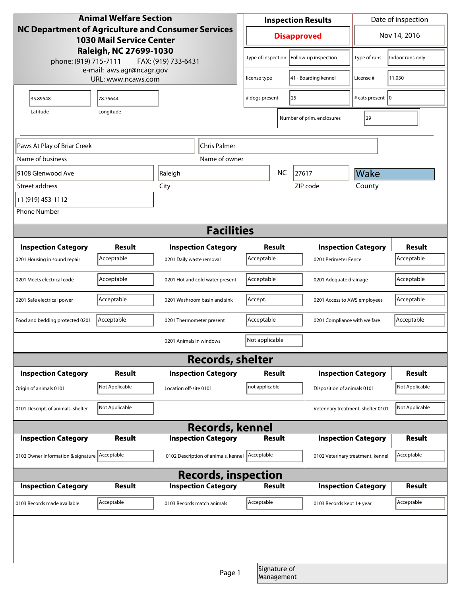| <b>Animal Welfare Section</b>                                                                       |                |                                     |  | <b>Inspection Results</b>                       |                            |                                    | Date of inspection         |                  |
|-----------------------------------------------------------------------------------------------------|----------------|-------------------------------------|--|-------------------------------------------------|----------------------------|------------------------------------|----------------------------|------------------|
| NC Department of Agriculture and Consumer Services<br><b>1030 Mail Service Center</b>               |                |                                     |  | <b>Disapproved</b>                              |                            |                                    |                            | Nov 14, 2016     |
| Raleigh, NC 27699-1030<br>phone: (919) 715-7111<br>FAX: (919) 733-6431<br>e-mail: aws.agr@ncagr.gov |                |                                     |  | Type of inspection                              | Follow-up inspection       |                                    | Type of runs               | Indoor runs only |
| URL: www.ncaws.com                                                                                  |                |                                     |  | 41 - Boarding kennel<br>license type            |                            |                                    | License #                  | 11,030           |
| 35.89548                                                                                            | 78.75644       |                                     |  | # dogs present<br>25                            |                            |                                    | # cats present   0         |                  |
| Longitude<br>Latitude                                                                               |                |                                     |  |                                                 | Number of prim. enclosures |                                    | 29                         |                  |
|                                                                                                     |                |                                     |  |                                                 |                            |                                    |                            |                  |
| Paws At Play of Briar Creek<br>Chris Palmer                                                         |                |                                     |  |                                                 |                            |                                    |                            |                  |
| Name of business                                                                                    |                | Name of owner                       |  |                                                 |                            |                                    |                            |                  |
| 9108 Glenwood Ave                                                                                   |                | Raleigh                             |  | <b>NC</b><br>27617                              |                            |                                    | Wake                       |                  |
| Street address                                                                                      | City           |                                     |  |                                                 | ZIP code                   |                                    | County                     |                  |
| +1 (919) 453-1112                                                                                   |                |                                     |  |                                                 |                            |                                    |                            |                  |
| <b>Phone Number</b>                                                                                 |                |                                     |  |                                                 |                            |                                    |                            |                  |
| <b>Facilities</b>                                                                                   |                |                                     |  |                                                 |                            |                                    |                            |                  |
| <b>Inspection Category</b>                                                                          | Result         | <b>Inspection Category</b>          |  | Result                                          |                            | <b>Inspection Category</b>         |                            | <b>Result</b>    |
| 0201 Housing in sound repair                                                                        | Acceptable     | 0201 Daily waste removal            |  | Acceptable<br>0201 Perimeter Fence              |                            |                                    |                            | Acceptable       |
| 0201 Meets electrical code                                                                          | Acceptable     | 0201 Hot and cold water present     |  | Acceptable<br>0201 Adequate drainage            |                            |                                    |                            | Acceptable       |
| 0201 Safe electrical power                                                                          | Acceptable     | 0201 Washroom basin and sink        |  | Accept.                                         |                            | 0201 Access to AWS employees       |                            | Acceptable       |
| Food and bedding protected 0201                                                                     | Acceptable     | 0201 Thermometer present            |  | Acceptable                                      |                            | 0201 Compliance with welfare       |                            | Acceptable       |
|                                                                                                     |                | 0201 Animals in windows             |  | Not applicable                                  |                            |                                    |                            |                  |
| <b>Records, shelter</b>                                                                             |                |                                     |  |                                                 |                            |                                    |                            |                  |
| <b>Inspection Category</b>                                                                          | Result         | <b>Inspection Category</b>          |  | Result                                          |                            | <b>Inspection Category</b>         |                            | <b>Result</b>    |
| Origin of animals 0101                                                                              | Not Applicable | Location off-site 0101              |  | not applicable                                  |                            | Disposition of animals 0101        |                            | Not Applicable   |
| 0101 Descript. of animals, shelter                                                                  | Not Applicable |                                     |  |                                                 |                            | Veterinary treatment, shelter 0101 |                            | Not Applicable   |
| <b>Records, kennel</b>                                                                              |                |                                     |  |                                                 |                            |                                    |                            |                  |
| <b>Inspection Category</b>                                                                          | <b>Result</b>  | <b>Inspection Category</b>          |  | <b>Result</b>                                   |                            |                                    | <b>Inspection Category</b> | <b>Result</b>    |
| 0102 Owner information & signature Acceptable                                                       |                | 0102 Description of animals, kennel |  | Acceptable<br>0102 Veterinary treatment, kennel |                            |                                    | Acceptable                 |                  |
| <b>Records, inspection</b>                                                                          |                |                                     |  |                                                 |                            |                                    |                            |                  |
| <b>Inspection Category</b>                                                                          | Result         | <b>Inspection Category</b>          |  | Result                                          |                            |                                    | <b>Inspection Category</b> | <b>Result</b>    |
| 0103 Records made available                                                                         | Acceptable     | 0103 Records match animals          |  | Acceptable                                      |                            | 0103 Records kept 1+ year          |                            | Acceptable       |
|                                                                                                     |                |                                     |  |                                                 |                            |                                    |                            |                  |
|                                                                                                     |                |                                     |  |                                                 |                            |                                    |                            |                  |
|                                                                                                     |                | Page 1                              |  | Signature of<br>Management                      |                            |                                    |                            |                  |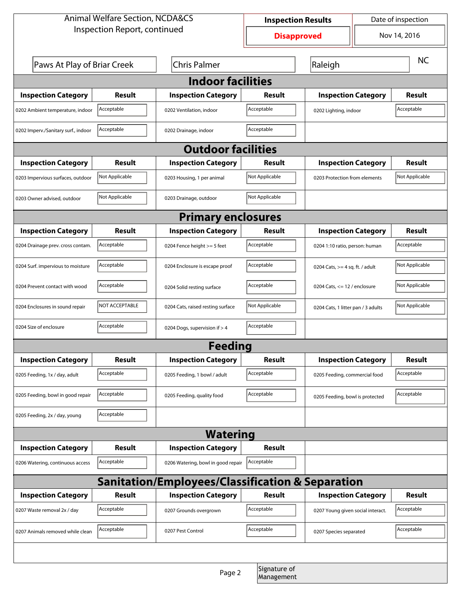| <b>Animal Welfare Section, NCDA&amp;CS</b>       |                |                                    | Date of inspection<br><b>Inspection Results</b> |                                    |                                |                |  |  |
|--------------------------------------------------|----------------|------------------------------------|-------------------------------------------------|------------------------------------|--------------------------------|----------------|--|--|
| Inspection Report, continued                     |                |                                    | Nov 14, 2016<br><b>Disapproved</b>              |                                    |                                |                |  |  |
| Paws At Play of Briar Creek                      |                | <b>Chris Palmer</b>                |                                                 | Raleigh                            |                                | <b>NC</b>      |  |  |
| <b>Indoor facilities</b>                         |                |                                    |                                                 |                                    |                                |                |  |  |
| <b>Inspection Category</b>                       | Result         | <b>Inspection Category</b>         | Result                                          | <b>Inspection Category</b>         |                                | Result         |  |  |
| 0202 Ambient temperature, indoor                 | Acceptable     | 0202 Ventilation, indoor           | Acceptable                                      | 0202 Lighting, indoor              |                                | Acceptable     |  |  |
| 0202 Imperv./Sanitary surf., indoor              | Acceptable     | 0202 Drainage, indoor              | Acceptable                                      |                                    |                                |                |  |  |
| <b>Outdoor facilities</b>                        |                |                                    |                                                 |                                    |                                |                |  |  |
| <b>Inspection Category</b>                       | Result         | <b>Inspection Category</b>         | Result                                          | <b>Inspection Category</b>         |                                | Result         |  |  |
| 0203 Impervious surfaces, outdoor                | Not Applicable | 0203 Housing, 1 per animal         | Not Applicable                                  | 0203 Protection from elements      |                                | Not Applicable |  |  |
| 0203 Owner advised, outdoor                      | Not Applicable | 0203 Drainage, outdoor             | Not Applicable                                  |                                    |                                |                |  |  |
| <b>Primary enclosures</b>                        |                |                                    |                                                 |                                    |                                |                |  |  |
| <b>Inspection Category</b>                       | Result         | <b>Inspection Category</b>         | Result                                          | <b>Inspection Category</b>         |                                | <b>Result</b>  |  |  |
| 0204 Drainage prev. cross contam.                | Acceptable     | 0204 Fence height >= 5 feet        | Acceptable                                      | 0204 1:10 ratio, person: human     |                                | Acceptable     |  |  |
| 0204 Surf. impervious to moisture                | Acceptable     | 0204 Enclosure is escape proof     | Acceptable                                      | 0204 Cats, $>=$ 4 sq. ft. / adult  |                                | Not Applicable |  |  |
| 0204 Prevent contact with wood                   | Acceptable     | 0204 Solid resting surface         | Acceptable                                      |                                    | 0204 Cats, $<= 12$ / enclosure |                |  |  |
| 0204 Enclosures in sound repair                  | NOT ACCEPTABLE | 0204 Cats, raised resting surface  | Not Applicable                                  | 0204 Cats, 1 litter pan / 3 adults |                                | Not Applicable |  |  |
| 0204 Size of enclosure                           | Acceptable     | 0204 Dogs, supervision if > 4      | Acceptable                                      |                                    |                                |                |  |  |
| <b>Feeding</b>                                   |                |                                    |                                                 |                                    |                                |                |  |  |
| <b>Inspection Category</b>                       | <b>Result</b>  | <b>Inspection Category</b>         | Result                                          | <b>Inspection Category</b>         |                                | <b>Result</b>  |  |  |
| 0205 Feeding, 1x / day, adult                    | Acceptable     | 0205 Feeding, 1 bowl / adult       | Acceptable                                      | 0205 Feeding, commercial food      |                                | Acceptable     |  |  |
| 0205 Feeding, bowl in good repair                | Acceptable     | 0205 Feeding, quality food         | Acceptable                                      | 0205 Feeding, bowl is protected    |                                | Acceptable     |  |  |
| 0205 Feeding, 2x / day, young                    | Acceptable     |                                    |                                                 |                                    |                                |                |  |  |
| <b>Watering</b>                                  |                |                                    |                                                 |                                    |                                |                |  |  |
| <b>Inspection Category</b>                       | <b>Result</b>  | <b>Inspection Category</b>         | Result                                          |                                    |                                |                |  |  |
| 0206 Watering, continuous access                 | Acceptable     | 0206 Watering, bowl in good repair | Acceptable                                      |                                    |                                |                |  |  |
| Sanitation/Employees/Classification & Separation |                |                                    |                                                 |                                    |                                |                |  |  |
| <b>Inspection Category</b>                       | <b>Result</b>  | <b>Inspection Category</b>         | Result                                          | <b>Inspection Category</b>         |                                | <b>Result</b>  |  |  |
| 0207 Waste removal 2x / day                      | Acceptable     | 0207 Grounds overgrown             | Acceptable                                      | 0207 Young given social interact.  |                                | Acceptable     |  |  |
| 0207 Animals removed while clean                 | Acceptable     | 0207 Pest Control                  | Acceptable                                      | 0207 Species separated             |                                | Acceptable     |  |  |
|                                                  |                |                                    |                                                 |                                    |                                |                |  |  |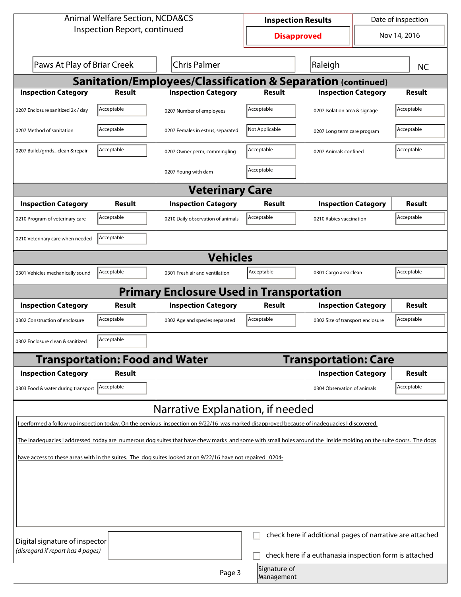| <b>Animal Welfare Section, NCDA&amp;CS</b>                                                                                                                       |                                       |                                                                                                                                              | Date of inspection<br><b>Inspection Results</b> |                |                                  |  |               |
|------------------------------------------------------------------------------------------------------------------------------------------------------------------|---------------------------------------|----------------------------------------------------------------------------------------------------------------------------------------------|-------------------------------------------------|----------------|----------------------------------|--|---------------|
| Inspection Report, continued                                                                                                                                     |                                       |                                                                                                                                              | Nov 14, 2016<br><b>Disapproved</b>              |                |                                  |  |               |
| Paws At Play of Briar Creek                                                                                                                                      |                                       | <b>Chris Palmer</b>                                                                                                                          |                                                 |                | Raleigh                          |  | <b>NC</b>     |
| <b>Sanitation/Employees/Classification &amp; Separation (continued)</b>                                                                                          |                                       |                                                                                                                                              |                                                 |                |                                  |  |               |
| <b>Inspection Category</b>                                                                                                                                       | <b>Result</b>                         | <b>Inspection Category</b>                                                                                                                   |                                                 | <b>Result</b>  | <b>Inspection Category</b>       |  | <b>Result</b> |
| 0207 Enclosure sanitized 2x / day                                                                                                                                | Acceptable                            | 0207 Number of employees                                                                                                                     |                                                 | Acceptable     | 0207 Isolation area & signage    |  | Acceptable    |
| 0207 Method of sanitation                                                                                                                                        | Acceptable                            | 0207 Females in estrus, separated                                                                                                            |                                                 | Not Applicable | 0207 Long term care program      |  | Acceptable    |
| 0207 Build./grnds., clean & repair                                                                                                                               | Acceptable                            | 0207 Owner perm, commingling                                                                                                                 |                                                 | Acceptable     | 0207 Animals confined            |  | Acceptable    |
|                                                                                                                                                                  |                                       | 0207 Young with dam                                                                                                                          |                                                 | Acceptable     |                                  |  |               |
|                                                                                                                                                                  |                                       | <b>Veterinary Care</b>                                                                                                                       |                                                 |                |                                  |  |               |
| <b>Inspection Category</b>                                                                                                                                       | Result                                | <b>Inspection Category</b>                                                                                                                   |                                                 | Result         | <b>Inspection Category</b>       |  | <b>Result</b> |
| 0210 Program of veterinary care                                                                                                                                  | Acceptable                            | 0210 Daily observation of animals                                                                                                            |                                                 | Acceptable     | 0210 Rabies vaccination          |  | Acceptable    |
| 0210 Veterinary care when needed                                                                                                                                 | Acceptable                            |                                                                                                                                              |                                                 |                |                                  |  |               |
| <b>Vehicles</b>                                                                                                                                                  |                                       |                                                                                                                                              |                                                 |                |                                  |  |               |
| 0301 Vehicles mechanically sound                                                                                                                                 | Acceptable                            | 0301 Fresh air and ventilation                                                                                                               |                                                 | Acceptable     | 0301 Cargo area clean            |  | Acceptable    |
|                                                                                                                                                                  |                                       | <b>Primary Enclosure Used in Transportation</b>                                                                                              |                                                 |                |                                  |  |               |
| <b>Inspection Category</b>                                                                                                                                       | Result                                | <b>Inspection Category</b>                                                                                                                   |                                                 | Result         | <b>Inspection Category</b>       |  | <b>Result</b> |
| 0302 Construction of enclosure                                                                                                                                   | Acceptable                            | 0302 Age and species separated                                                                                                               |                                                 | Acceptable     | 0302 Size of transport enclosure |  | Acceptable    |
| 0302 Enclosure clean & sanitized                                                                                                                                 | Acceptable                            |                                                                                                                                              |                                                 |                |                                  |  |               |
|                                                                                                                                                                  | <b>Transportation: Food and Water</b> |                                                                                                                                              |                                                 |                | <b>Transportation: Care</b>      |  |               |
| <b>Inspection Category</b>                                                                                                                                       | Result                                |                                                                                                                                              |                                                 |                | <b>Inspection Category</b>       |  | <b>Result</b> |
| 0303 Food & water during transport                                                                                                                               | Acceptable                            |                                                                                                                                              |                                                 |                | 0304 Observation of animals      |  | Acceptable    |
|                                                                                                                                                                  |                                       | Narrative Explanation, if needed                                                                                                             |                                                 |                |                                  |  |               |
|                                                                                                                                                                  |                                       | I performed a follow up inspection today. On the pervious inspection on 9/22/16 was marked disapproved because of inadequacies I discovered. |                                                 |                |                                  |  |               |
| The inadequacies I addressed today are numerous dog suites that have chew marks and some with small holes around the inside molding on the suite doors. The dogs |                                       |                                                                                                                                              |                                                 |                |                                  |  |               |
| have access to these areas with in the suites. The dog suites looked at on 9/22/16 have not repaired. 0204-                                                      |                                       |                                                                                                                                              |                                                 |                |                                  |  |               |
|                                                                                                                                                                  |                                       |                                                                                                                                              |                                                 |                |                                  |  |               |
|                                                                                                                                                                  |                                       |                                                                                                                                              |                                                 |                |                                  |  |               |
|                                                                                                                                                                  |                                       |                                                                                                                                              |                                                 |                |                                  |  |               |
|                                                                                                                                                                  |                                       |                                                                                                                                              |                                                 |                |                                  |  |               |
| check here if additional pages of narrative are attached                                                                                                         |                                       |                                                                                                                                              |                                                 |                |                                  |  |               |
| Digital signature of inspector<br>(disregard if report has 4 pages)<br>check here if a euthanasia inspection form is attached                                    |                                       |                                                                                                                                              |                                                 |                |                                  |  |               |
| Signature of<br>Page 3<br>Management                                                                                                                             |                                       |                                                                                                                                              |                                                 |                |                                  |  |               |